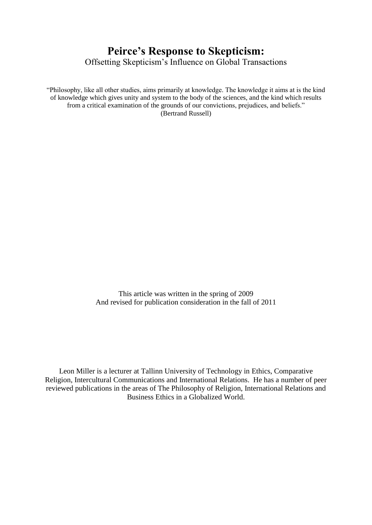# **Peirce's Response to Skepticism:** Offsetting Skepticism's Influence on Global Transactions

"Philosophy, like all other studies, aims primarily at knowledge. The knowledge it aims at is the kind of knowledge which gives unity and system to the body of the sciences, and the kind which results from a critical examination of the grounds of our convictions, prejudices, and beliefs." (Bertrand Russell)

> This article was written in the spring of 2009 And revised for publication consideration in the fall of 2011

Leon Miller is a lecturer at Tallinn University of Technology in Ethics, Comparative Religion, Intercultural Communications and International Relations. He has a number of peer reviewed publications in the areas of The Philosophy of Religion, International Relations and Business Ethics in a Globalized World.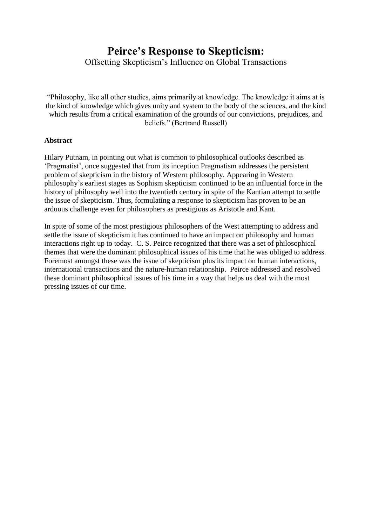## **Peirce's Response to Skepticism:** Offsetting Skepticism's Influence on Global Transactions

"Philosophy, like all other studies, aims primarily at knowledge. The knowledge it aims at is the kind of knowledge which gives unity and system to the body of the sciences, and the kind which results from a critical examination of the grounds of our convictions, prejudices, and

beliefs." (Bertrand Russell)

### **Abstract**

Hilary Putnam, in pointing out what is common to philosophical outlooks described as 'Pragmatist', once suggested that from its inception Pragmatism addresses the persistent problem of skepticism in the history of Western philosophy. Appearing in Western philosophy's earliest stages as Sophism skepticism continued to be an influential force in the history of philosophy well into the twentieth century in spite of the Kantian attempt to settle the issue of skepticism. Thus, formulating a response to skepticism has proven to be an arduous challenge even for philosophers as prestigious as Aristotle and Kant.

In spite of some of the most prestigious philosophers of the West attempting to address and settle the issue of skepticism it has continued to have an impact on philosophy and human interactions right up to today. C. S. Peirce recognized that there was a set of philosophical themes that were the dominant philosophical issues of his time that he was obliged to address. Foremost amongst these was the issue of skepticism plus its impact on human interactions, international transactions and the nature-human relationship. Peirce addressed and resolved these dominant philosophical issues of his time in a way that helps us deal with the most pressing issues of our time.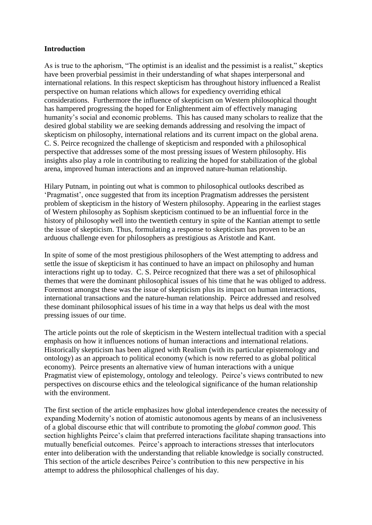#### **Introduction**

As is true to the aphorism, "The optimist is an idealist and the pessimist is a realist," skeptics have been proverbial pessimist in their understanding of what shapes interpersonal and international relations. In this respect skepticism has throughout history influenced a Realist perspective on human relations which allows for expediency overriding ethical considerations. Furthermore the influence of skepticism on Western philosophical thought has hampered progressing the hoped for Enlightenment aim of effectively managing humanity's social and economic problems. This has caused many scholars to realize that the desired global stability we are seeking demands addressing and resolving the impact of skepticism on philosophy, international relations and its current impact on the global arena. C. S. Peirce recognized the challenge of skepticism and responded with a philosophical perspective that addresses some of the most pressing issues of Western philosophy. His insights also play a role in contributing to realizing the hoped for stabilization of the global arena, improved human interactions and an improved nature-human relationship.

Hilary Putnam, in pointing out what is common to philosophical outlooks described as 'Pragmatist', once suggested that from its inception Pragmatism addresses the persistent problem of skepticism in the history of Western philosophy. Appearing in the earliest stages of Western philosophy as Sophism skepticism continued to be an influential force in the history of philosophy well into the twentieth century in spite of the Kantian attempt to settle the issue of skepticism. Thus, formulating a response to skepticism has proven to be an arduous challenge even for philosophers as prestigious as Aristotle and Kant.

In spite of some of the most prestigious philosophers of the West attempting to address and settle the issue of skepticism it has continued to have an impact on philosophy and human interactions right up to today. C. S. Peirce recognized that there was a set of philosophical themes that were the dominant philosophical issues of his time that he was obliged to address. Foremost amongst these was the issue of skepticism plus its impact on human interactions, international transactions and the nature-human relationship. Peirce addressed and resolved these dominant philosophical issues of his time in a way that helps us deal with the most pressing issues of our time.

The article points out the role of skepticism in the Western intellectual tradition with a special emphasis on how it influences notions of human interactions and international relations. Historically skepticism has been aligned with Realism (with its particular epistemology and ontology) as an approach to political economy (which is now referred to as global political economy). Peirce presents an alternative view of human interactions with a unique Pragmatist view of epistemology, ontology and teleology. Peirce's views contributed to new perspectives on discourse ethics and the teleological significance of the human relationship with the environment.

The first section of the article emphasizes how global interdependence creates the necessity of expanding Modernity's notion of atomistic autonomous agents by means of an inclusiveness of a global discourse ethic that will contribute to promoting the *global common good*. This section highlights Peirce's claim that preferred interactions facilitate shaping transactions into mutually beneficial outcomes. Peirce's approach to interactions stresses that interlocutors enter into deliberation with the understanding that reliable knowledge is socially constructed. This section of the article describes Peirce's contribution to this new perspective in his attempt to address the philosophical challenges of his day.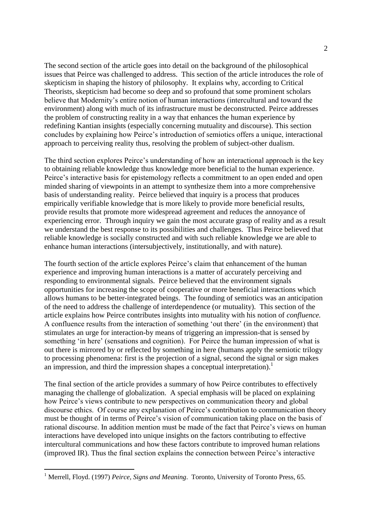The second section of the article goes into detail on the background of the philosophical issues that Peirce was challenged to address. This section of the article introduces the role of skepticism in shaping the history of philosophy. It explains why, according to Critical Theorists, skepticism had become so deep and so profound that some prominent scholars believe that Modernity's entire notion of human interactions (intercultural and toward the environment) along with much of its infrastructure must be deconstructed. Peirce addresses the problem of constructing reality in a way that enhances the human experience by redefining Kantian insights (especially concerning mutuality and discourse). This section concludes by explaining how Peirce's introduction of semiotics offers a unique, interactional approach to perceiving reality thus, resolving the problem of subject-other dualism.

The third section explores Peirce's understanding of how an interactional approach is the key to obtaining reliable knowledge thus knowledge more beneficial to the human experience. Peirce's interactive basis for epistemology reflects a commitment to an open ended and open minded sharing of viewpoints in an attempt to synthesize them into a more comprehensive basis of understanding reality. Peirce believed that inquiry is a process that produces empirically verifiable knowledge that is more likely to provide more beneficial results, provide results that promote more widespread agreement and reduces the annoyance of experiencing error. Through inquiry we gain the most accurate grasp of reality and as a result we understand the best response to its possibilities and challenges. Thus Peirce believed that reliable knowledge is socially constructed and with such reliable knowledge we are able to enhance human interactions (intersubjectively, institutionally, and with nature).

The fourth section of the article explores Peirce's claim that enhancement of the human experience and improving human interactions is a matter of accurately perceiving and responding to environmental signals. Peirce believed that the environment signals opportunities for increasing the scope of cooperative or more beneficial interactions which allows humans to be better-integrated beings. The founding of semiotics was an anticipation of the need to address the challenge of interdependence (or mutuality). This section of the article explains how Peirce contributes insights into mutuality with his notion of *confluence.*  A confluence results from the interaction of something 'out there' (in the environment) that stimulates an urge for interaction-by means of triggering an impression-that is sensed by something 'in here' (sensations and cognition). For Peirce the human impression of what is out there is mirrored by or reflected by something in here (humans apply the semiotic trilogy to processing phenomena: first is the projection of a signal, second the signal or sign makes an impression, and third the impression shapes a conceptual interpretation).<sup>1</sup>

The final section of the article provides a summary of how Peirce contributes to effectively managing the challenge of globalization. A special emphasis will be placed on explaining how Peirce's views contribute to new perspectives on communication theory and global discourse ethics. Of course any explanation of Peirce's contribution to communication theory must be thought of in terms of Peirce's vision of communication taking place on the basis of rational discourse. In addition mention must be made of the fact that Peirce's views on human interactions have developed into unique insights on the factors contributing to effective intercultural communications and how these factors contribute to improved human relations (improved IR). Thus the final section explains the connection between Peirce's interactive

<sup>&</sup>lt;sup>1</sup> Merrell, Floyd. (1997) *Peirce, Signs and Meaning*. Toronto, University of Toronto Press, 65.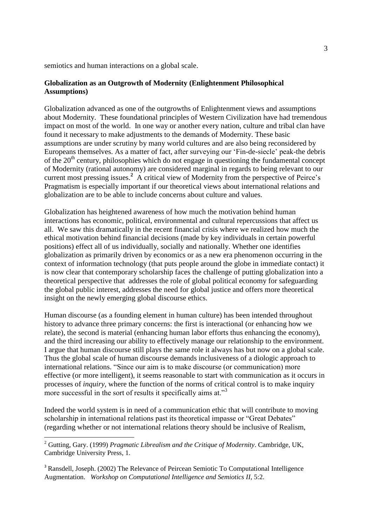semiotics and human interactions on a global scale.

#### **Globalization as an Outgrowth of Modernity (Enlightenment Philosophical Assumptions)**

Globalization advanced as one of the outgrowths of Enlightenment views and assumptions about Modernity. These foundational principles of Western Civilization have had tremendous impact on most of the world.In one way or another every nation, culture and tribal clan have found it necessary to make adjustments to the demands of Modernity. These basic assumptions are under scrutiny by many world cultures and are also being reconsidered by Europeans themselves. As a matter of fact, after surveying our 'Fin-de-siecle' peak-the debris of the  $20<sup>th</sup>$  century, philosophies which do not engage in questioning the fundamental concept of Modernity (rational autonomy) are considered marginal in regards to being relevant to our current most pressing issues.<sup>2</sup> A critical view of Modernity from the perspective of Peirce's Pragmatism is especially important if our theoretical views about international relations and globalization are to be able to include concerns about culture and values.

Globalization has heightened awareness of how much the motivation behind human interactions has economic, political, environmental and cultural repercussions that affect us all. We saw this dramatically in the recent financial crisis where we realized how much the ethical motivation behind financial decisions (made by key individuals in certain powerful positions) effect all of us individually, socially and nationally. Whether one identifies globalization as primarily driven by economics or as a new era phenomenon occurring in the context of information technology (that puts people around the globe in immediate contact) it is now clear that contemporary scholarship faces the challenge of putting globalization into a theoretical perspective that addresses the role of global political economy for safeguarding the global public interest, addresses the need for global justice and offers more theoretical insight on the newly emerging global discourse ethics.

Human discourse (as a founding element in human culture) has been intended throughout history to advance three primary concerns: the first is interactional (or enhancing how we relate), the second is material (enhancing human labor efforts thus enhancing the economy), and the third increasing our ability to effectively manage our relationship to the environment. I argue that human discourse still plays the same role it always has but now on a global scale. Thus the global scale of human discourse demands inclusiveness of a diologic approach to international relations. "Since our aim is to make discourse (or communication) more effective (or more intelligent), it seems reasonable to start with communication as it occurs in processes of *inquiry,* where the function of the norms of critical control is to make inquiry more successful in the sort of results it specifically aims at."<sup>3</sup>

Indeed the world system is in need of a communication ethic that will contribute to moving scholarship in international relations past its theoretical impasse or "Great Debates" (regarding whether or not international relations theory should be inclusive of Realism,

<sup>2</sup> Gutting, Gary. (1999) *Pragmatic Librealism and the Critique of Modernity*. Cambridge, UK, Cambridge University Press, 1.

<sup>&</sup>lt;sup>3</sup> Ransdell, Joseph. (2002) The Relevance of Peircean Semiotic To Computational Intelligence Augmentation. *Workshop on Computational Intelligence and Semiotics II*, 5:2.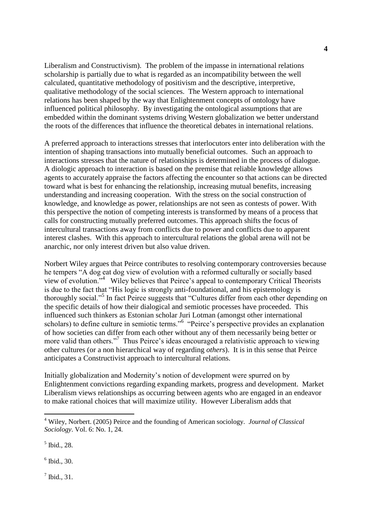Liberalism and Constructivism). The problem of the impasse in international relations scholarship is partially due to what is regarded as an incompatibility between the well calculated, quantitative methodology of positivism and the descriptive, interpretive, qualitative methodology of the social sciences. The Western approach to international relations has been shaped by the way that Enlightenment concepts of ontology have influenced political philosophy. By investigating the ontological assumptions that are embedded within the dominant systems driving Western globalization we better understand the roots of the differences that influence the theoretical debates in international relations.

A preferred approach to interactions stresses that interlocutors enter into deliberation with the intention of shaping transactions into mutually beneficial outcomes. Such an approach to interactions stresses that the nature of relationships is determined in the process of dialogue. A diologic approach to interaction is based on the premise that reliable knowledge allows agents to accurately appraise the factors affecting the encounter so that actions can be directed toward what is best for enhancing the relationship, increasing mutual benefits, increasing understanding and increasing cooperation. With the stress on the social construction of knowledge, and knowledge as power, relationships are not seen as contests of power. With this perspective the notion of competing interests is transformed by means of a process that calls for constructing mutually preferred outcomes. This approach shifts the focus of intercultural transactions away from conflicts due to power and conflicts due to apparent interest clashes. With this approach to intercultural relations the global arena will not be anarchic, nor only interest driven but also value driven.

Norbert Wiley argues that Peirce contributes to resolving contemporary controversies because he tempers "A dog eat dog view of evolution with a reformed culturally or socially based view of evolution."<sup>4</sup> Wiley believes that Peirce's appeal to contemporary Critical Theorists is due to the fact that "His logic is strongly anti-foundational, and his epistemology is thoroughly social."<sup>5</sup> In fact Peirce suggests that "Cultures differ from each other depending on the specific details of how their dialogical and semiotic processes have proceeded. This influenced such thinkers as Estonian scholar Juri Lotman (amongst other international scholars) to define culture in semiotic terms."<sup>6</sup> "Peirce's perspective provides an explanation of how societies can differ from each other without any of them necessarily being better or more valid than others."<sup>7</sup> Thus Peirce's ideas encouraged a relativistic approach to viewing other cultures (or a non hierarchical way of regarding *others*). It is in this sense that Peirce anticipates a Constructivist approach to intercultural relations.

Initially globalization and Modernity's notion of development were spurred on by Enlightenment convictions regarding expanding markets, progress and development. Market Liberalism views relationships as occurring between agents who are engaged in an endeavor to make rational choices that will maximize utility. However Liberalism adds that

5 Ibid., 28.

 $\overline{a}$ 

6 Ibid., 30.

 $<sup>7</sup>$  Ibid., 31.</sup>

<sup>4</sup> Wiley, Norbert. (2005) Peirce and the founding of American sociology. *Journal of Classical Sociology*. Vol. 6: No. 1, 24.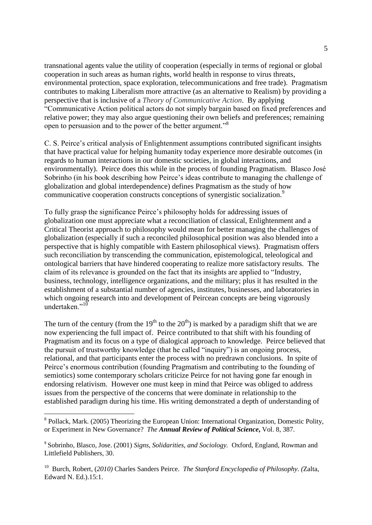transnational agents value the utility of cooperation (especially in terms of regional or global cooperation in such areas as human rights, world health in response to virus threats, environmental protection, space exploration, telecommunications and free trade). Pragmatism contributes to making Liberalism more attractive (as an alternative to Realism) by providing a perspective that is inclusive of a *Theory of Communicative Action*. By applying "Communicative Action political actors do not simply bargain based on fixed preferences and relative power; they may also argue questioning their own beliefs and preferences; remaining open to persuasion and to the power of the better argument."<sup>8</sup> 

C. S. Peirce's critical analysis of Enlightenment assumptions contributed significant insights that have practical value for helping humanity today experience more desirable outcomes (in regards to human interactions in our domestic societies, in global interactions, and environmentally). Peirce does this while in the process of founding Pragmatism.Blasco José Sobrinho (in his book describing how Peirce's ideas contribute to managing the challenge of globalization and global interdependence) defines Pragmatism as the study of how communicative cooperation constructs conceptions of synergistic socialization.<sup>9</sup>

To fully grasp the significance Peirce's philosophy holds for addressing issues of globalization one must appreciate what a reconciliation of classical, Enlightenment and a Critical Theorist approach to philosophy would mean for better managing the challenges of globalization (especially if such a reconciled philosophical position was also blended into a perspective that is highly compatible with Eastern philosophical views). Pragmatism offers such reconciliation by transcending the communication, epistemological, teleological and ontological barriers that have hindered cooperating to realize more satisfactory results. The claim of its relevance is grounded on the fact that its insights are applied to "Industry, business, technology, intelligence organizations, and the military; plus it has resulted in the establishment of a substantial number of agencies, institutes, businesses, and laboratories in which ongoing research into and development of Peircean concepts are being vigorously undertaken $^{10}$ 

The turn of the century (from the  $19<sup>th</sup>$  to the  $20<sup>th</sup>$ ) is marked by a paradigm shift that we are now experiencing the full impact of. Peirce contributed to that shift with his founding of Pragmatism and its focus on a type of dialogical approach to knowledge. Peirce believed that the pursuit of trustworthy knowledge (that he called "inquiry") is an ongoing process, relational, and that participants enter the process with no predrawn conclusions. In spite of Peirce's enormous contribution (founding Pragmatism and contributing to the founding of semiotics) some contemporary scholars criticize Peirce for not having gone far enough in endorsing relativism. However one must keep in mind that Peirce was obliged to address issues from the perspective of the concerns that were dominate in relationship to the established paradigm during his time. His writing demonstrated a depth of understanding of

<sup>&</sup>lt;sup>8</sup> Pollack, Mark. (2005) Theorizing the European Union: International Organization, Domestic Polity, or Experiment in New Governance? *The Annual Review of Political Science***,** Vol. 8, 387.

<sup>9</sup> Sobrinho, Blasco, Jose. (2001) *Signs, Solidarities, and Sociology.* Oxford, England, Rowman and Littlefield Publishers, 30.

<sup>10</sup> Burch, Robert, (*2010)* Charles Sanders Peirce. *The Stanford Encyclopedia of Philosophy. (*Zalta, Edward N. Ed.).15:1.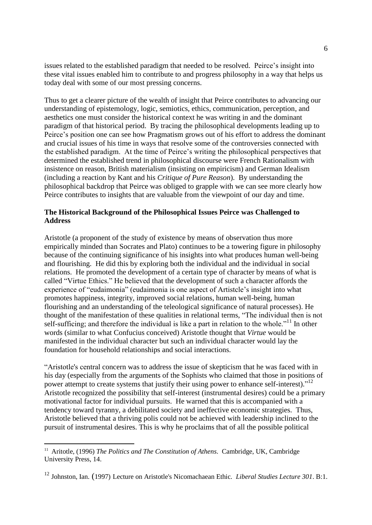issues related to the established paradigm that needed to be resolved. Peirce's insight into these vital issues enabled him to contribute to and progress philosophy in a way that helps us today deal with some of our most pressing concerns.

Thus to get a clearer picture of the wealth of insight that Peirce contributes to advancing our understanding of epistemology, logic, semiotics, ethics, communication, perception, and aesthetics one must consider the historical context he was writing in and the dominant paradigm of that historical period. By tracing the philosophical developments leading up to Peirce's position one can see how Pragmatism grows out of his effort to address the dominant and crucial issues of his time in ways that resolve some of the controversies connected with the established paradigm. At the time of Peirce's writing the philosophical perspectives that determined the established trend in philosophical discourse were French Rationalism with insistence on reason, British materialism (insisting on empiricism) and German Idealism (including a reaction by Kant and his *Critique of Pure Reason*). By understanding the philosophical backdrop that Peirce was obliged to grapple with we can see more clearly how Peirce contributes to insights that are valuable from the viewpoint of our day and time.

### **The Historical Background of the Philosophical Issues Peirce was Challenged to Address**

Aristotle (a proponent of the study of existence by means of observation thus more empirically minded than Socrates and Plato) continues to be a towering figure in philosophy because of the continuing significance of his insights into what produces human well-being and flourishing. He did this by exploring both the individual and the individual in social relations. He promoted the development of a certain type of character by means of what is called "Virtue Ethics." He believed that the development of such a character affords the experience of "eudaimonia" (eudaimonia is one aspect of Artistcle's insight into what promotes happiness, integrity, improved social relations, human well-being, human flourishing and an understanding of the teleological significance of natural processes). He thought of the manifestation of these qualities in relational terms, "The individual then is not self-sufficing; and therefore the individual is like a part in relation to the whole.<sup>"11</sup> In other words (similar to what Confucius conceived) Aristotle thought that *Virtue* would be manifested in the individual character but such an individual character would lay the foundation for household relationships and social interactions.

"Aristotle's central concern was to address the issue of skepticism that he was faced with in his day (especially from the arguments of the Sophists who claimed that those in positions of power attempt to create systems that justify their using power to enhance self-interest)."<sup>12</sup> Aristotle recognized the possibility that self-interest (instrumental desires) could be a primary motivational factor for individual pursuits. He warned that this is accompanied with a tendency toward tyranny, a debilitated society and ineffective economic strategies. Thus, Aristotle believed that a thriving polis could not be achieved with leadership inclined to the pursuit of instrumental desires. This is why he proclaims that of all the possible political

<sup>&</sup>lt;sup>11</sup> Aritotle, (1996) *The Politics and The Constitution of Athens*. Cambridge, UK, Cambridge University Press, 14.

<sup>12</sup> Johnston, Ian. (1997) Lecture on Aristotle's Nicomachaean Ethic*. Liberal Studies Lecture 301*. B:1.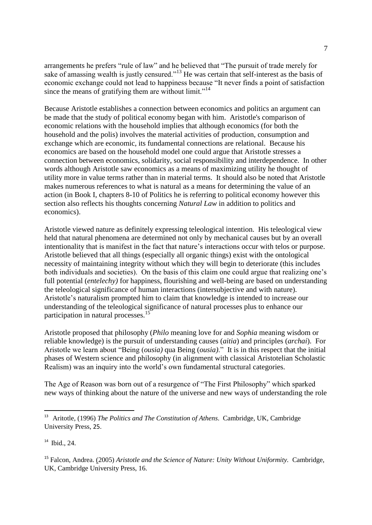arrangements he prefers "rule of law" and he believed that "The pursuit of trade merely for sake of amassing wealth is justly censured."<sup>13</sup> He was certain that self-interest as the basis of economic exchange could not lead to happiness because "It never finds a point of satisfaction since the means of gratifying them are without limit."<sup>14</sup>

Because Aristotle establishes a connection between economics and politics an argument can be made that the study of political economy began with him. Aristotle's comparison of economic relations with the household implies that although economics (for both the household and the polis) involves the material activities of production, consumption and exchange which are economic, its fundamental connections are relational. Because his economics are based on the household model one could argue that Aristotle stresses a connection between economics, solidarity, social responsibility and interdependence. In other words although Aristotle saw economics as a means of maximizing utility he thought of utility more in value terms rather than in material terms. It should also be noted that Aristotle makes numerous references to what is natural as a means for determining the value of an action (in Book I, chapters 8-10 of Politics he is referring to political economy however this section also reflects his thoughts concerning *Natural Law* in addition to politics and economics).

Aristotle viewed nature as definitely expressing teleological intention. His teleological view held that natural phenomena are determined not only by mechanical causes but by an overall intentionality that is manifest in the fact that nature's interactions occur with telos or purpose. Aristotle believed that all things (especially all organic things) exist with the ontological necessity of maintaining integrity without which they will begin to deteriorate (this includes both individuals and societies). On the basis of this claim one could argue that realizing one's full potential (*entelechy)* for happiness, flourishing and well-being are based on understanding the teleological significance of human interactions (intersubjective and with nature). Aristotle's naturalism prompted him to claim that knowledge is intended to increase our understanding of the teleological significance of natural processes plus to enhance our participation in natural processes.<sup>15</sup>

Aristotle proposed that philosophy (*Philo* meaning love for and *Sophia* meaning wisdom or reliable knowledge) is the pursuit of understanding causes (*aitia*) and principles (*archai*). For Aristotle we learn about "Being (*ousia)* qua Being (*ousia)*." It is in this respect that the initial phases of Western science and philosophy (in alignment with classical Aristotelian Scholastic Realism) was an inquiry into the world's own fundamental structural categories.

The Age of Reason was born out of a resurgence of "The First Philosophy" which sparked new ways of thinking about the nature of the universe and new ways of understanding the role

<sup>&</sup>lt;sup>13</sup> Aritotle, (1996) *The Politics and The Constitution of Athens*. Cambridge, UK, Cambridge University Press, 25.

<sup>14</sup> Ibid., 24.

<sup>15</sup> Falcon, Andrea. (2005) *Aristotle and the Science of Nature: Unity Without Uniformity.* Cambridge, UK, Cambridge University Press, 16.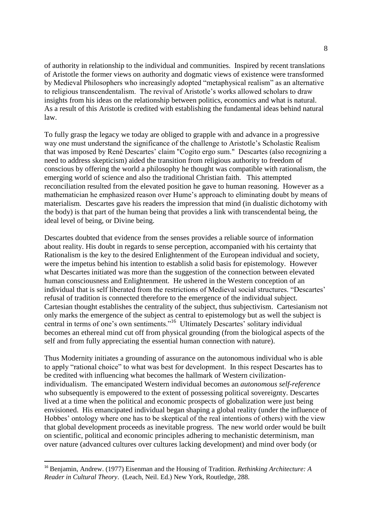of authority in relationship to the individual and communities. Inspired by recent translations of Aristotle the former views on authority and dogmatic views of existence were transformed by Medieval Philosophers who increasingly adopted "metaphysical realism" as an alternative to religious transcendentalism. The revival of Aristotle's works allowed scholars to draw insights from his ideas on the relationship between politics, economics and what is natural. As a result of this Aristotle is credited with establishing the fundamental ideas behind natural law.

To fully grasp the legacy we today are obliged to grapple with and advance in a progressive way one must understand the significance of the challenge to Aristotle's Scholastic Realism that was imposed by René Descartes' claim "Cogito ergo sum." Descartes (also recognizing a need to address skepticism) aided the transition from religious authority to freedom of conscious by offering the world a philosophy he thought was compatible with rationalism, the emerging world of science and also the traditional Christian faith. This attempted reconciliation resulted from the elevated position he gave to human reasoning. However as a mathematician he emphasized reason over Hume's approach to eliminating doubt by means of materialism. Descartes gave his readers the impression that mind (in dualistic dichotomy with the body) is that part of the human being that provides a link with transcendental being, the ideal level of being, or Divine being.

Descartes doubted that evidence from the senses provides a reliable source of information about reality. His doubt in regards to sense perception, accompanied with his certainty that Rationalism is the key to the desired Enlightenment of the European individual and society, were the impetus behind his intention to establish a solid basis for epistemology. However what Descartes initiated was more than the suggestion of the connection between elevated human consciousness and Enlightenment. He ushered in the Western conception of an individual that is self liberated from the restrictions of Medieval social structures. "Descartes' refusal of tradition is connected therefore to the emergence of the individual subject. Cartesian thought establishes the centrality of the subject, thus subjectivism. Cartesianism not only marks the emergence of the subject as central to epistemology but as well the subject is central in terms of one's own sentiments."<sup>16</sup> Ultimately Descartes' solitary individual becomes an ethereal mind cut off from physical grounding (from the biological aspects of the self and from fully appreciating the essential human connection with nature).

Thus Modernity initiates a grounding of assurance on the autonomous individual who is able to apply "rational choice" to what was best for development. In this respect Descartes has to be credited with influencing what becomes the hallmark of Western civilizationindividualism. The emancipated Western individual becomes an *autonomous self-reference* who subsequently is empowered to the extent of possessing political sovereignty. Descartes lived at a time when the political and economic prospects of globalization were just being envisioned. His emancipated individual began shaping a global reality (under the influence of Hobbes' ontology where one has to be skeptical of the real intentions of others) with the view that global development proceeds as inevitable progress. The new world order would be built on scientific, political and economic principles adhering to mechanistic determinism, man over nature (advanced cultures over cultures lacking development) and mind over body (or

<sup>16</sup> Benjamin, Andrew. (1977) Eisenman and the Housing of Tradition. *Rethinking Architecture: A Reader in Cultural Theory*. (Leach, Neil. Ed.) New York, Routledge, 288.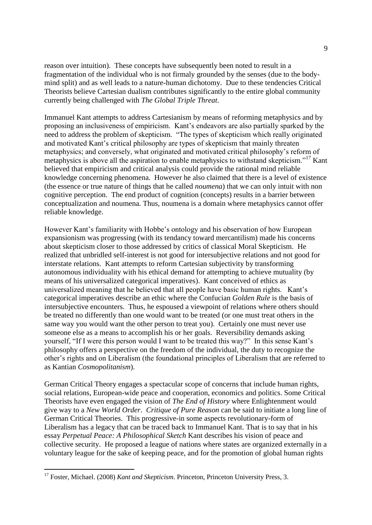reason over intuition). These concepts have subsequently been noted to result in a fragmentation of the individual who is not firmaly grounded by the senses (due to the bodymind split) and as well leads to a nature-human dichotomy. Due to these tendencies Critical Theorists believe Cartesian dualism contributes significantly to the entire global community currently being challenged with *The Global Triple Threat*.

Immanuel Kant attempts to address Cartesianism by means of reforming metaphysics and by proposing an inclusiveness of empiricism. Kant's endeavors are also partially sparked by the need to address the problem of skepticism. "The types of skepticism which really originated and motivated Kant's critical philosophy are types of skepticism that mainly threaten metaphysics; and conversely, what originated and motivated critical philosophy's reform of metaphysics is above all the aspiration to enable metaphysics to withstand skepticism."<sup>17</sup> Kant believed that empiricism and critical analysis could provide the rational mind reliable knowledge concerning phenomena. However he also claimed that there is a level of existence (the essence or true nature of things that he called *noumena*) that we can only intuit with non cognitive perception. The end product of cognition (concepts) results in a barrier between conceptualization and noumena. Thus, noumena is a domain where metaphysics cannot offer reliable knowledge.

However Kant's familiarity with Hobbe's ontology and his observation of how European expansionism was progressing (with its tendancy toward mercantilism) made his concerns about skepticism closer to those addressed by critics of classical Moral Skepticism. He realized that unbridled self-interest is not good for intersubjective relations and not good for interstate relations. Kant attempts to reform Cartesian subjectivity by transforming autonomous individuality with his ethical demand for attempting to achieve mutuality (by means of his universalized categorical imperatives). Kant conceived of ethics as universalized meaning that he believed that all people have basic human rights. Kant's categorical imperatives describe an ethic where the Confucian *Golden Rule* is the basis of intersubjective encounters. Thus, he espoused a viewpoint of relations where others should be treated no differently than one would want to be treated (or one must treat others in the same way you would want the other person to treat you). Certainly one must never use someone else as a means to accomplish his or her goals. Reversibility demands asking yourself, "If I were this person would I want to be treated this way?" In this sense Kant's philosophy offers a perspective on the freedom of the individual, the duty to recognize the other's rights and on Liberalism (the foundational principles of Liberalism that are referred to as Kantian *Cosmopolitanism*).

German Critical Theory engages a spectacular scope of concerns that include human rights, social relations, European-wide peace and cooperation, economics and politics. Some Critical Theorists have even engaged the vision of *The End of History* where Enlightenment would give way to a *New World Order*. *Critique of Pure Reason* can be said to initiate a long line of German Critical Theories. This progressive-in some aspects revolutionary-form of Liberalism has a legacy that can be traced back to Immanuel Kant. That is to say that in his essay *Perpetual Peace: A Philosophical Sketch* Kant describes his vision of peace and collective security. He proposed a league of nations where states are organized externally in a voluntary league for the sake of keeping peace, and for the promotion of global human rights

<sup>&</sup>lt;sup>17</sup> Foster, Michael. (2008) *Kant and Skepticism*. Princeton, Princeton University Press, 3.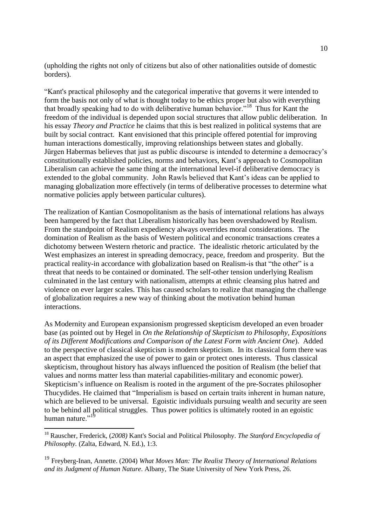(upholding the rights not only of citizens but also of other nationalities outside of domestic borders).

"Kant's practical philosophy and the categorical imperative that governs it were intended to form the basis not only of what is thought today to be ethics proper but also with everything that broadly speaking had to do with deliberative human behavior."<sup>18</sup> Thus for Kant the freedom of the individual is depended upon social structures that allow public deliberation. In his essay *Theory and Practice* he claims that this is best realized in political systems that are built by social contract. Kant envisioned that this principle offered potential for improving human interactions domestically, improving relationships between states and globally. Jürgen Habermas believes that just as public discourse is intended to determine a democracy's constitutionally established policies, norms and behaviors, Kant's approach to Cosmopolitan Liberalism can achieve the same thing at the international level-if deliberative democracy is extended to the global community. John Rawls believed that Kant's ideas can be applied to managing globalization more effectively (in terms of deliberative processes to determine what normative policies apply between particular cultures).

The realization of Kantian Cosmopolitanism as the basis of international relations has always been hampered by the fact that Liberalism historically has been overshadowed by Realism. From the standpoint of Realism expediency always overrides moral considerations. The domination of Realism as the basis of Western political and economic transactions creates a dichotomy between Western rhetoric and practice. The idealistic rhetoric articulated by the West emphasizes an interest in spreading democracy, peace, freedom and prosperity. But the practical reality-in accordance with globalization based on Realism-is that "the other" is a threat that needs to be contained or dominated. The self-other tension underlying Realism culminated in the last century with nationalism, attempts at ethnic cleansing plus hatred and violence on ever larger scales. This has caused scholars to realize that managing the challenge of globalization requires a new way of thinking about the motivation behind human interactions.

As Modernity and European expansionism progressed skepticism developed an even broader base (as pointed out by Hegel in *On the Relationship of Skepticism to Philosophy, Expositions of its Different Modifications and Comparison of the Latest Form with Ancient One*). Added to the perspective of classical skepticism is modern skepticism. In its classical form there was an aspect that emphasized the use of power to gain or protect ones interests. Thus classical skepticism, throughout history has always influenced the position of Realism (the belief that values and norms matter less than material capabilities-military and economic power). Skepticism's influence on Realism is rooted in the argument of the pre-Socrates philosopher Thucydides. He claimed that "Imperialism is based on certain traits inherent in human nature, which are believed to be universal. Egoistic individuals pursuing wealth and security are seen to be behind all political struggles. Thus power politics is ultimately rooted in an egoistic human nature."<sup>19</sup>

<sup>18</sup> Rauscher, Frederick, (*2008)* Kant's Social and Political Philosophy. *The Stanford Encyclopedia of Philosophy.* (Zalta, Edward, N. Ed.), 1:3.

<sup>19</sup> Freyberg-Inan, Annette. (2004) *What Moves Man: The Realist Theory of International Relations and its Judgment of Human Nature*. Albany, The State University of New York Press, 26.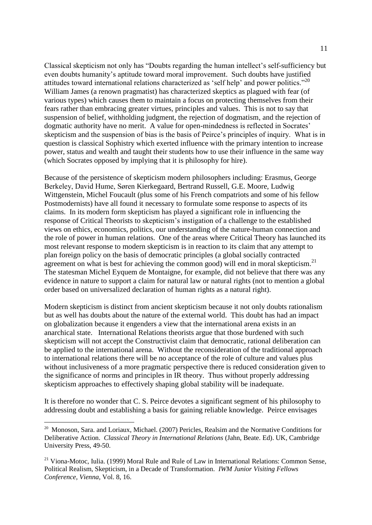Classical skepticism not only has "Doubts regarding the human intellect's self-sufficiency but even doubts humanity's aptitude toward moral improvement. Such doubts have justified attitudes toward international relations characterized as 'self help' and power politics."<sup>20</sup> William James (a renown pragmatist) has characterized skeptics as plagued with fear (of various types) which causes them to maintain a focus on protecting themselves from their fears rather than embracing greater virtues, principles and values. This is not to say that suspension of belief, withholding judgment, the rejection of dogmatism, and the rejection of dogmatic authority have no merit. A value for open-mindedness is reflected in Socrates' skepticism and the suspension of bias is the basis of Peirce's principles of inquiry. What is in question is classical Sophistry which exerted influence with the primary intention to increase power, status and wealth and taught their students how to use their influence in the same way (which Socrates opposed by implying that it is philosophy for hire).

Because of the persistence of skepticism modern philosophers including: Erasmus, George Berkeley, David Hume, Søren Kierkegaard, Bertrand Russell, G.E. Moore, Ludwig Wittgenstein, Michel Foucault (plus some of his French compatriots and some of his fellow Postmodernists) have all found it necessary to formulate some response to aspects of its claims. In its modern form skepticism has played a significant role in influencing the response of Critical Theorists to skepticism's instigation of a challenge to the established views on ethics, economics, politics, our understanding of the nature-human connection and the role of power in human relations. One of the areas where Critical Theory has launched its most relevant response to modern skepticism is in reaction to its claim that any attempt to plan foreign policy on the basis of democratic principles (a global socially contracted agreement on what is best for achieving the common good) will end in moral skepticism.<sup>21</sup> The statesman Michel Eyquem de Montaigne, for example, did not believe that there was any evidence in nature to support a claim for natural law or natural rights (not to mention a global order based on universalized declaration of human rights as a natural right).

Modern skepticism is distinct from ancient skepticism because it not only doubts rationalism but as well has doubts about the nature of the external world. This doubt has had an impact on globalization because it engenders a view that the international arena exists in an anarchical state. International Relations theorists argue that those burdened with such skepticism will not accept the Constructivist claim that democratic, rational deliberation can be applied to the international arena. Without the reconsideration of the traditional approach to international relations there will be no acceptance of the role of culture and values plus without inclusiveness of a more pragmatic perspective there is reduced consideration given to the significance of norms and principles in IR theory. Thus without properly addressing skepticism approaches to effectively shaping global stability will be inadequate.

It is therefore no wonder that C. S. Peirce devotes a significant segment of his philosophy to addressing doubt and establishing a basis for gaining reliable knowledge. Peirce envisages

<sup>&</sup>lt;sup>20</sup> Monoson, Sara. and Loriaux, Michael. (2007) Pericles, Realsim and the Normative Conditions for Deliberative Action. *Classical Theory in International Relations* (Jahn, Beate. Ed). UK, Cambridge University Press, 49-50.

 $^{21}$  Viona-Motoc, Iulia. (1999) Moral Rule and Rule of Law in International Relations: Common Sense, Political Realism, Skepticism, in a Decade of Transformation. *IWM Junior Visiting Fellows Conference, Vienna,* Vol. 8, 16.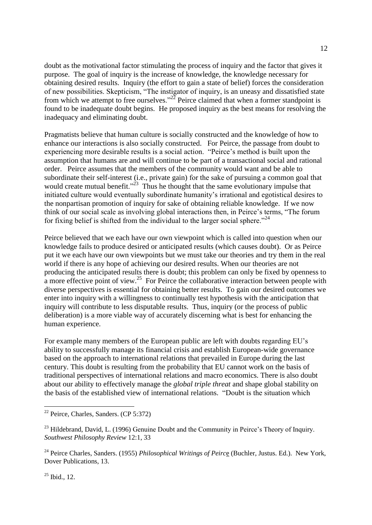doubt as the motivational factor stimulating the process of inquiry and the factor that gives it purpose. The goal of inquiry is the increase of knowledge, the knowledge necessary for obtaining desired results. Inquiry (the effort to gain a state of belief) forces the consideration of new possibilities. Skepticism, "The instigator of inquiry, is an uneasy and dissatisfied state from which we attempt to free ourselves."<sup>22</sup> Peirce claimed that when a former standpoint is found to be inadequate doubt begins. He proposed inquiry as the best means for resolving the inadequacy and eliminating doubt.

Pragmatists believe that human culture is socially constructed and the knowledge of how to enhance our interactions is also socially constructed. For Peirce, the passage from doubt to experiencing more desirable results is a social action. "Peirce's method is built upon the assumption that humans are and will continue to be part of a transactional social and rational order. Peirce assumes that the members of the community would want and be able to subordinate their self-interest (i.e., private gain) for the sake of pursuing a common goal that would create mutual benefit."<sup>23</sup> Thus he thought that the same evolutionary impulse that initiated culture would eventually subordinate humanity's irrational and egotistical desires to the nonpartisan promotion of inquiry for sake of obtaining reliable knowledge. If we now think of our social scale as involving global interactions then, in Peirce's terms, "The forum for fixing belief is shifted from the individual to the larger social sphere.<sup> $24$ </sup>

Peirce believed that we each have our own viewpoint which is called into question when our knowledge fails to produce desired or anticipated results (which causes doubt). Or as Peirce put it we each have our own viewpoints but we must take our theories and try them in the real world if there is any hope of achieving our desired results. When our theories are not producing the anticipated results there is doubt; this problem can only be fixed by openness to a more effective point of view.<sup>25</sup> For Peirce the collaborative interaction between people with diverse perspectives is essential for obtaining better results. To gain our desired outcomes we enter into inquiry with a willingness to continually test hypothesis with the anticipation that inquiry will contribute to less disputable results. Thus, inquiry (or the process of public deliberation) is a more viable way of accurately discerning what is best for enhancing the human experience.

For example many members of the European public are left with doubts regarding EU's ability to successfully manage its financial crisis and establish European-wide governance based on the approach to international relations that prevailed in Europe during the last century. This doubt is resulting from the probability that EU cannot work on the basis of traditional perspectives of international relations and macro economics. There is also doubt about our ability to effectively manage the *global triple threat* and shape global stability on the basis of the established view of international relations. "Doubt is the situation which

 $25$  Ibid., 12.

<sup>&</sup>lt;sup>22</sup> Peirce, Charles, Sanders. (CP 5:372)

 $^{23}$  Hildebrand, David, L. (1996) Genuine Doubt and the Community in Peirce's Theory of Inquiry. *Southwest Philosophy Review* 12:1, 33

<sup>&</sup>lt;sup>24</sup> Peirce Charles, Sanders. (1955) *Philosophical Writings of Peirc* (Buchler, Justus. Ed.). New York, Dover Publications, 13.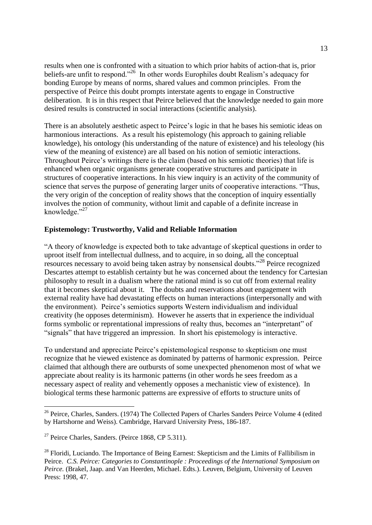results when one is confronted with a situation to which prior habits of action-that is, prior beliefs-are unfit to respond."<sup>26</sup> In other words Europhiles doubt Realism's adequacy for bonding Europe by means of norms, shared values and common principles. From the perspective of Peirce this doubt prompts interstate agents to engage in Constructive deliberation. It is in this respect that Peirce believed that the knowledge needed to gain more desired results is constructed in social interactions (scientific analysis).

There is an absolutely aesthetic aspect to Peirce's logic in that he bases his semiotic ideas on harmonious interactions. As a result his epistemology (his approach to gaining reliable knowledge), his ontology (his understanding of the nature of existence) and his teleology (his view of the meaning of existence) are all based on his notion of semiotic interactions. Throughout Peirce's writings there is the claim (based on his semiotic theories) that life is enhanced when organic organisms generate cooperative structures and participate in structures of cooperative interactions. In his view inquiry is an activity of the community of science that serves the purpose of generating larger units of cooperative interactions. "Thus, the very origin of the conception of reality shows that the conception of inquiry essentially involves the notion of community, without limit and capable of a definite increase in knowledge."<sup>27</sup>

### **Epistemology: Trustworthy, Valid and Reliable Information**

"A theory of knowledge is expected both to take advantage of skeptical questions in order to uproot itself from intellectual dullness, and to acquire, in so doing, all the conceptual resources necessary to avoid being taken astray by nonsensical doubts."<sup>28</sup> Peirce recognized Descartes attempt to establish certainty but he was concerned about the tendency for Cartesian philosophy to result in a dualism where the rational mind is so cut off from external reality that it becomes skeptical about it. The doubts and reservations about engagement with external reality have had devastating effects on human interactions (interpersonally and with the environment). Peirce's semiotics supports Western individualism and individual creativity (he opposes determinism). However he asserts that in experience the individual forms symbolic or reprentational impressions of realty thus, becomes an "interpretant" of "signals" that have triggered an impression. In short his epistemology is interactive.

To understand and appreciate Peirce's epistemological response to skepticism one must recognize that he viewed existence as dominated by patterns of harmonic expression. Peirce claimed that although there are outbursts of some unexpected phenomenon most of what we appreciate about reality is its harmonic patterns (in other words he sees freedom as a necessary aspect of reality and vehemently opposes a mechanistic view of existence). In biological terms these harmonic patterns are expressive of efforts to structure units of

<sup>&</sup>lt;sup>26</sup> Peirce, Charles, Sanders. (1974) The Collected Papers of Charles Sanders Peirce Volume 4 (edited by Hartshorne and Weiss). Cambridge, Harvard University Press, 186-187.

 $27$  Peirce Charles, Sanders. (Peirce 1868, CP 5.311).

 $^{28}$  Floridi, Luciando. The Importance of Being Earnest: Skepticism and the Limits of Fallibilism in Peirce. *C.S. Peirce: Categories to Constantinople : Proceedings of the International Symposium on Peirce.* (Brakel, Jaap. and Van Heerden, Michael. Edts.). Leuven, Belgium, University of Leuven Press: 1998, 47.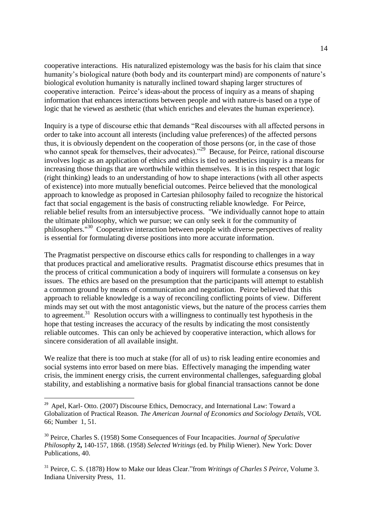cooperative interactions. His naturalized epistemology was the basis for his claim that since humanity's biological nature (both body and its counterpart mind) are components of nature's biological evolution humanity is naturally inclined toward shaping larger structures of cooperative interaction. Peirce's ideas-about the process of inquiry as a means of shaping information that enhances interactions between people and with nature-is based on a type of logic that he viewed as aesthetic (that which enriches and elevates the human experience).

Inquiry is a type of discourse ethic that demands "Real discourses with all affected persons in order to take into account all interests (including value preferences) of the affected persons thus, it is obviously dependent on the cooperation of those persons (or, in the case of those who cannot speak for themselves, their advocates).<sup>29</sup> Because, for Peirce, rational discourse involves logic as an application of ethics and ethics is tied to aesthetics inquiry is a means for increasing those things that are worthwhile within themselves. It is in this respect that logic (right thinking) leads to an understanding of how to shape interactions (with all other aspects of existence) into more mutually beneficial outcomes. Peirce believed that the monological approach to knowledge as proposed in Cartesian philosophy failed to recognize the historical fact that social engagement is the basis of constructing reliable knowledge. For Peirce, reliable belief results from an intersubjective process. "We individually cannot hope to attain the ultimate philosophy, which we pursue; we can only seek it for the community of philosophers.<sup>"30</sup> Cooperative interaction between people with diverse perspectives of reality is essential for formulating diverse positions into more accurate information.

The Pragmatist perspective on discourse ethics calls for responding to challenges in a way that produces practical and ameliorative results. Pragmatist discourse ethics presumes that in the process of critical communication a body of inquirers will formulate a consensus on key issues. The ethics are based on the presumption that the participants will attempt to establish a common ground by means of communication and negotiation. Peirce believed that this approach to reliable knowledge is a way of reconciling conflicting points of view. Different minds may set out with the most antagonistic views, but the nature of the process carries them to agreement.<sup>31</sup> Resolution occurs with a willingness to continually test hypothesis in the hope that testing increases the accuracy of the results by indicating the most consistently reliable outcomes. This can only be achieved by cooperative interaction, which allows for sincere consideration of all available insight.

We realize that there is too much at stake (for all of us) to risk leading entire economies and social systems into error based on mere bias. Effectively managing the impending water crisis, the imminent energy crisis, the current environmental challenges, safeguarding global stability, and establishing a normative basis for global financial transactions cannot be done

<sup>&</sup>lt;sup>29</sup> Apel, Karl- Otto. (2007) Discourse Ethics, Democracy, and International Law: Toward a Globalization of Practical Reason. *The American Journal of Economics and Sociology Details*, VOL 66; Number 1, 51.

<sup>30</sup> Peirce, Charles S. (1958) Some Consequences of Four Incapacities. *Journal of Speculative Philosophy* **2,** 140-157, 1868. (1958) *Selected Writings* (ed. by Philip Wiener). New York: Dover Publications, 40.

<sup>31</sup> Peirce, C. S. (1878) How to Make our Ideas Clear."from *Writings of Charles S Peirce*, Volume 3. Indiana University Press, 11.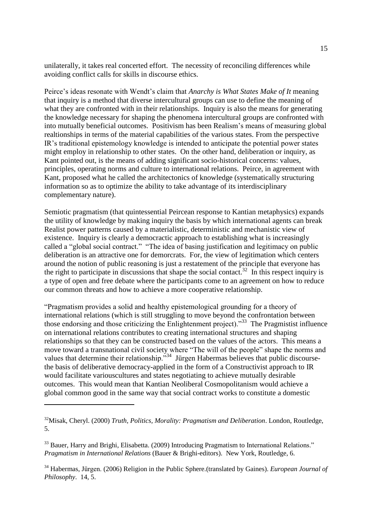unilaterally, it takes real concerted effort. The necessity of reconciling differences while avoiding conflict calls for skills in discourse ethics.

Peirce's ideas resonate with Wendt's claim that *Anarchy is What States Make of It* meaning that inquiry is a method that diverse intercultural groups can use to define the meaning of what they are confronted with in their relationships. Inquiry is also the means for generating the knowledge necessary for shaping the phenomena intercultural groups are confronted with into mutually beneficial outcomes. Positivism has been Realism's means of measuring global realtionships in terms of the material capabilities of the various states. From the perspective IR's traditional epistemology knowledge is intended to anticipate the potential power states might employ in relationship to other states. On the other hand, deliberation or inquiry, as Kant pointed out, is the means of adding significant socio-historical concerns: values, principles, operating norms and culture to international relations. Peirce, in agreement with Kant, proposed what he called the architectonics of knowledge (systematically structuring information so as to optimize the ability to take advantage of its interdisciplinary complementary nature).

Semiotic pragmatism (that quintessential Peircean response to Kantian metaphysics) expands the utility of knowledge by making inquiry the basis by which international agents can break Realist power patterns caused by a materialistic, deterministic and mechanistic view of existence. Inquiry is clearly a democractic approach to establishing what is increasingly called a "global social contract." "The idea of basing justification and legitimacy on public deliberation is an attractive one for demorcrats. For, the view of legitimation which centers around the notion of public reasoning is just a restatement of the principle that everyone has the right to participate in discussions that shape the social contact.<sup>32</sup> In this respect inquiry is a type of open and free debate where the participants come to an agreement on how to reduce our common threats and how to achieve a more cooperative relationship.

"Pragmatism provides a solid and healthy epistemological grounding for a theory of international relations (which is still struggling to move beyond the confrontation between those endorsing and those criticizing the Enlightenment project)."<sup>33</sup> The Pragmistist influence on international relations contributes to creating international structures and shaping relationships so that they can be constructed based on the values of the actors. This means a move toward a transnational civil society where "The will of the people" shape the norms and values that determine their relationship."<sup>34</sup> Jürgen Habermas believes that public discoursethe basis of deliberative democracy-applied in the form of a Constructivist approach to IR would facilitate variouscultures and states negotiating to achieve mutually desirable outcomes. This would mean that Kantian Neoliberal Cosmopolitanism would achieve a global common good in the same way that social contract works to constitute a domestic

<sup>32</sup>Misak, Cheryl. (2000) *Truth, Politics, Morality: Pragmatism and Deliberation*. London, Routledge, 5.

 $33$  Bauer, Harry and Brighi, Elisabetta. (2009) Introducing Pragmatism to International Relations." *Pragmatism in International Relations* (Bauer & Brighi-editors). New York, Routledge, 6.

<sup>34</sup> Habermas, Jürgen. (2006) Religion in the Public Sphere.(translated by Gaines). *European Journal of Philosophy*. 14, 5.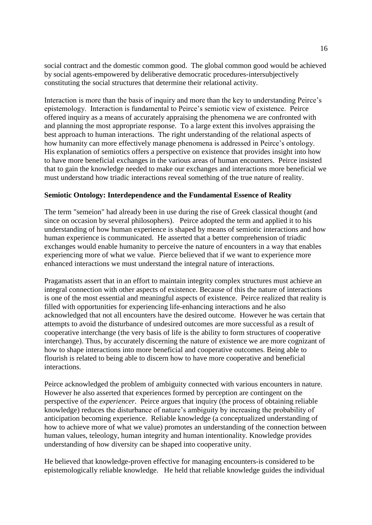social contract and the domestic common good. The global common good would be achieved by social agents-empowered by deliberative democratic procedures-intersubjectively constituting the social structures that determine their relational activity.

Interaction is more than the basis of inquiry and more than the key to understanding Peirce's epistemology. Interaction is fundamental to Peirce's semiotic view of existence. Peirce offered inquiry as a means of accurately appraising the phenomena we are confronted with and planning the most appropriate response. To a large extent this involves appraising the best approach to human interactions. The right understanding of the relational aspects of how humanity can more effectively manage phenomena is addressed in Peirce's ontology. His explanation of semiotics offers a perspective on existence that provides insight into how to have more beneficial exchanges in the various areas of human encounters. Peirce insisted that to gain the knowledge needed to make our exchanges and interactions more beneficial we must understand how triadic interactions reveal something of the true nature of reality.

#### **Semiotic Ontology: Interdependence and the Fundamental Essence of Reality**

The term "semeion" had already been in use during the rise of Greek classical thought (and since on occasion by several philosophers). Peirce adopted the term and applied it to his understanding of how human experience is shaped by means of semiotic interactions and how human experience is communicated. He asserted that a better comprehension of triadic exchanges would enable humanity to perceive the nature of encounters in a way that enables experiencing more of what we value. Pierce believed that if we want to experience more enhanced interactions we must understand the integral nature of interactions.

Pragamatists assert that in an effort to maintain integrity complex structures must achieve an integral connection with other aspects of existence. Because of this the nature of interactions is one of the most essential and meaningful aspects of existence. Peirce realized that reality is filled with opportunities for experiencing life-enhancing interactions and he also acknowledged that not all encounters have the desired outcome. However he was certain that attempts to avoid the disturbance of undesired outcomes are more successful as a result of cooperative interchange (the very basis of life is the ability to form structures of cooperative interchange). Thus, by accurately discerning the nature of existence we are more cognizant of how to shape interactions into more beneficial and cooperative outcomes. Being able to flourish is related to being able to discern how to have more cooperative and beneficial interactions.

Peirce acknowledged the problem of ambiguity connected with various encounters in nature. However he also asserted that experiences formed by perception are contingent on the perspective of the *experiencer*. Peirce argues that inquiry (the process of obtaining reliable knowledge) reduces the disturbance of nature's ambiguity by increasing the probability of anticipation becoming experience. Reliable knowledge (a conceptualized understanding of how to achieve more of what we value) promotes an understanding of the connection between human values, teleology, human integrity and human intentionality. Knowledge provides understanding of how diversity can be shaped into cooperative unity.

He believed that knowledge-proven effective for managing encounters-is considered to be epistemologically reliable knowledge. He held that reliable knowledge guides the individual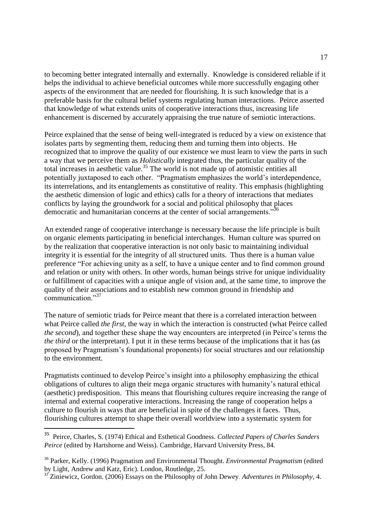to becoming better integrated internally and externally. Knowledge is considered reliable if it helps the individual to achieve beneficial outcomes while more successfully engaging other aspects of the environment that are needed for flourishing. It is such knowledge that is a preferable basis for the cultural belief systems regulating human interactions. Peirce asserted that knowledge of what extends units of cooperative interactions thus, increasing life enhancement is discerned by accurately appraising the true nature of semiotic interactions.

Peirce explained that the sense of being well-integrated is reduced by a view on existence that isolates parts by segmenting them, reducing them and turning them into objects. He recognized that to improve the quality of our existence we must learn to view the parts in such a way that we perceive them as *Holistically* integrated thus, the particular quality of the total increases in aesthetic value.<sup>35</sup> The world is not made up of atomistic entities all potentially juxtaposed to each other. "Pragmatism emphasizes the world's interdependence, its interrelations, and its entanglements as constitutive of reality. This emphasis (highlighting the aesthetic dimension of logic and ethics) calls for a theory of interactions that mediates conflicts by laying the groundwork for a social and political philosophy that places democratic and humanitarian concerns at the center of social arrangements."<sup>36</sup>

An extended range of cooperative interchange is necessary because the life principle is built on organic elements participating in beneficial interchanges. Human culture was spurred on by the realization that cooperative interaction is not only basic to maintaining individual integrity it is essential for the integrity of all structured units. Thus there is a human value preference "For achieving unity as a self, to have a unique center and to find common ground and relation or unity with others. In other words, human beings strive for unique individuality or fulfillment of capacities with a unique angle of vision and, at the same time, to improve the quality of their associations and to establish new common ground in friendship and communication<sup>"37</sup>

The nature of semiotic triads for Peirce meant that there is a correlated interaction between what Peirce called *the first,* the way in which the interaction is constructed (what Peirce called *the second*), and together these shape the way encounters are interpreted (in Peirce's terms the *the third* or the interpretant). I put it in these terms because of the implications that it has (as proposed by Pragmatism's foundational proponents) for social structures and our relationship to the environment.

Pragmatists continued to develop Peirce's insight into a philosophy emphasizing the ethical obligations of cultures to align their mega organic structures with humanity's natural ethical (aesthetic) predisposition. This means that flourishing cultures require increasing the range of internal and external cooperative interactions. Increasing the range of cooperation helps a culture to flourish in ways that are beneficial in spite of the challenges it faces. Thus, flourishing cultures attempt to shape their overall worldview into a systematic system for

<sup>35</sup> Peirce, Charles, S. (1974) Ethical and Esthetical Goodness. *Collected Papers of Charles Sanders Peirce* (edited by Hartshorne and Weiss). Cambridge, Harvard University Press, 84.

<sup>36</sup> Parker, Kelly. (1996) Pragmatism and Environmental Thought. *Environmental Pragmatism* (edited by Light, Andrew and Katz, Eric). London, Routledge, 25.

<sup>37</sup> Ziniewicz, Gordon. (2006) Essays on the Philosophy of John Dewey. *Adventures in Philosophy*, 4.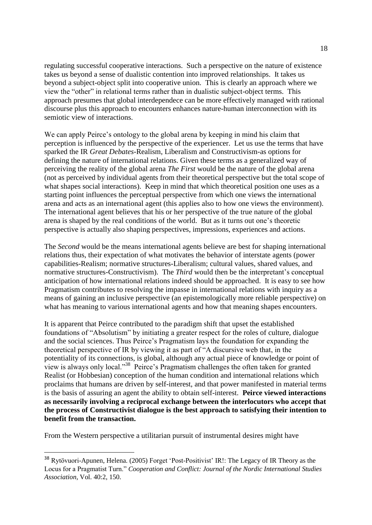regulating successful cooperative interactions. Such a perspective on the nature of existence takes us beyond a sense of dualistic contention into improved relationships. It takes us beyond a subject-object split into cooperative union. This is clearly an approach where we view the "other" in relational terms rather than in dualistic subject-object terms. This approach presumes that global interdependece can be more effectively managed with rational discourse plus this approach to encounters enhances nature-human interconnection with its semiotic view of interactions.

We can apply Peirce's ontology to the global arena by keeping in mind his claim that perception is influenced by the perspective of the experiencer. Let us use the terms that have sparked the IR *Great Debates*-Realism, Liberalism and Constructivism-as options for defining the nature of international relations. Given these terms as a generalized way of perceiving the reality of the global arena *The First* would be the nature of the global arena (not as perceived by individual agents from their theoretical perspective but the total scope of what shapes social interactions). Keep in mind that which theoretical position one uses as a starting point influences the perceptual perspective from which one views the international arena and acts as an international agent (this applies also to how one views the environment). The international agent believes that his or her perspective of the true nature of the global arena is shaped by the real conditions of the world. But as it turns out one's theoretic perspective is actually also shaping perspectives, impressions, experiences and actions.

The *Second* would be the means international agents believe are best for shaping international relations thus, their expectation of what motivates the behavior of interstate agents (power capabilities-Realism; normative structures-Liberalism; cultural values, shared values, and normative structures-Constructivism). The *Third* would then be the interpretant's conceptual anticipation of how international relations indeed should be approached. It is easy to see how Pragmatism contributes to resolving the impasse in international relations with inquiry as a means of gaining an inclusive perspective (an epistemologically more reliable perspective) on what has meaning to various international agents and how that meaning shapes encounters.

It is apparent that Peirce contributed to the paradigm shift that upset the established foundations of "Absolutism" by initiating a greater respect for the roles of culture, dialogue and the social sciences. Thus Peirce's Pragmatism lays the foundation for expanding the theoretical perspective of IR by viewing it as part of "A discursive web that, in the potentiality of its connections, is global, although any actual piece of knowledge or point of view is always only local."<sup>38</sup> Peirce's Pragmatism challenges the often taken for granted Realist (or Hobbesian) conception of the human condition and international relations which proclaims that humans are driven by self-interest, and that power manifested in material terms is the basis of assuring an agent the ability to obtain self-interest. **Peirce viewed interactions as necessarily involving a reciprocal exchange between the interlocutors who accept that the process of Constructivist dialogue is the best approach to satisfying their intention to benefit from the transaction.** 

From the Western perspective a utilitarian pursuit of instrumental desires might have

<sup>38</sup> Rytövuori-Apunen, Helena. (2005) Forget 'Post-Positivist' IR!: The Legacy of IR Theory as the Locus for a Pragmatist Turn." *Cooperation and Conflict: Journal of the Nordic International Studies Association*, Vol. 40:2, 150.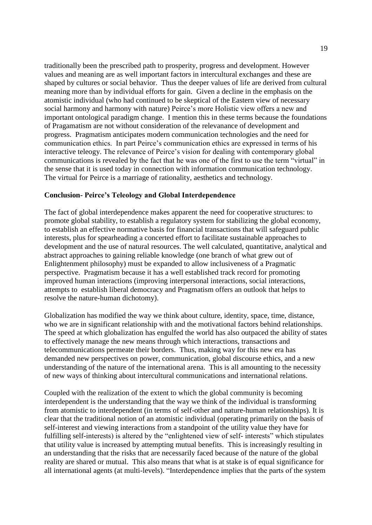traditionally been the prescribed path to prosperity, progress and development. However values and meaning are as well important factors in intercultural exchanges and these are shaped by cultures or social behavior. Thus the deeper values of life are derived from cultural meaning more than by individual efforts for gain. Given a decline in the emphasis on the atomistic individual (who had continued to be skeptical of the Eastern view of necessary social harmony and harmony with nature) Peirce's more Holistic view offers a new and important ontological paradigm change. I mention this in these terms because the foundations of Pragamatism are not without consideration of the relevanance of development and progress. Pragmatism anticipates modern communication technologies and the need for communication ethics. In part Peirce's communication ethics are expressed in terms of his interactive teleogy. The relevance of Peirce's vision for dealing with contemporary global communications is revealed by the fact that he was one of the first to use the term "virtual" in the sense that it is used today in connection with information communication technology. The virtual for Peirce is a marriage of rationality, aesthetics and technology.

#### **Conclusion- Peirce's Teleology and Global Interdependence**

The fact of global interdependence makes apparent the need for cooperative structures: to promote global stability, to establish a regulatory system for stabilizing the global economy, to establish an effective normative basis for financial transactions that will safeguard public interests, plus for spearheading a concerted effort to facilitate sustainable approaches to development and the use of natural resources. The well calculated, quantitative, analytical and abstract approaches to gaining reliable knowledge (one branch of what grew out of Enlightenment philosophy) must be expanded to allow inclusiveness of a Pragmatic perspective. Pragmatism because it has a well established track record for promoting improved human interactions (improving interpersonal interactions, social interactions, attempts to establish liberal democracy and Pragmatism offers an outlook that helps to resolve the nature-human dichotomy).

Globalization has modified the way we think about culture, identity, space, time, distance, who we are in significant relationship with and the motivational factors behind relationships. The speed at which globalization has engulfed the world has also outpaced the ability of states to effectively manage the new means through which interactions, transactions and telecommunications permeate their borders. Thus, making way for this new era has demanded new perspectives on power, communication, global discourse ethics, and a new understanding of the nature of the international arena. This is all amounting to the necessity of new ways of thinking about intercultural communications and international relations.

Coupled with the realization of the extent to which the global community is becoming interdependent is the understanding that the way we think of the individual is transforming from atomistic to interdependent (in terms of self-other and nature-human relationships). It is clear that the traditional notion of an atomistic individual (operating primarily on the basis of self-interest and viewing interactions from a standpoint of the utility value they have for fulfilling self-interests) is altered by the "enlightened view of self- interests" which stipulates that utility value is increased by attempting mutual benefits. This is increasingly resulting in an understanding that the risks that are necessarily faced because of the nature of the global reality are shared or mutual. This also means that what is at stake is of equal significance for all international agents (at multi-levels). "Interdependence implies that the parts of the system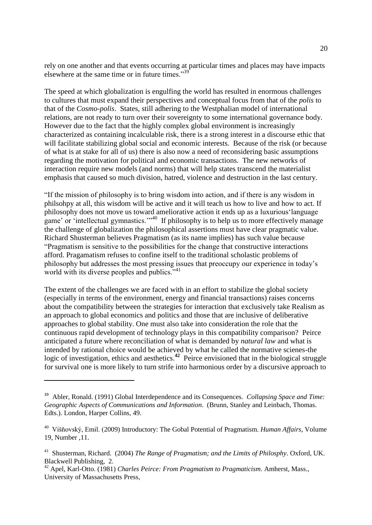rely on one another and that events occurring at particular times and places may have impacts elsewhere at the same time or in future times."<sup>39</sup>

The speed at which globalization is engulfing the world has resulted in enormous challenges to cultures that must expand their perspectives and conceptual focus from that of the *polis* to that of the *Cosmo-polis*. States, still adhering to the Westphalian model of international relations, are not ready to turn over their sovereignty to some international governance body. However due to the fact that the highly complex global environment is increasingly characterized as containing incalculable risk, there is a strong interest in a discourse ethic that will facilitate stabilizing global social and economic interests. Because of the risk (or because of what is at stake for all of us) there is also now a need of reconsidering basic assumptions regarding the motivation for political and economic transactions. The new networks of interaction require new models (and norms) that will help states transcend the materialist emphasis that caused so much division, hatred, violence and destruction in the last century.

"If the mission of philosophy is to bring wisdom into action, and if there is any wisdom in philsohpy at all, this wisdom will be active and it will teach us how to live and how to act. If philosophy does not move us toward ameliorative action it ends up as a luxurious'language game' or 'intellectual gymnastics.'"<sup>40</sup> If philosophy is to help us to more effectively manage the challenge of globalization the philosophical assertions must have clear pragmatic value. Richard Shusterman believes Pragmatism (as its name implies) has such value because "Pragmatism is sensitive to the possibilities for the change that constructive interactions afford. Pragamatism refuses to confine itself to the traditional scholastic problems of philosophy but addresses the most pressing issues that preoccupy our experience in today's world with its diverse peoples and publics."<sup>41</sup>

The extent of the challenges we are faced with in an effort to stabilize the global society (especially in terms of the environment, energy and financial transactions) raises concerns about the compatibility between the strategies for interaction that exclusively take Realism as an approach to global economics and politics and those that are inclusive of deliberative approaches to global stability. One must also take into consideration the role that the continuous rapid development of technology plays in this compatibility comparison? Peirce anticipated a future where reconciliation of what is demanded by *natural law* and what is intended by rational choice would be achieved by what he called the normative scienes-the logic of investigation, ethics and aesthetics.<sup>42</sup> Peirce envisioned that in the biological struggle for survival one is more likely to turn strife into harmonious order by a discursive approach to

<sup>39</sup> Abler, Ronald. (1991) Global Interdependence and its Consequences. *Collapsing Space and Time: Geographic Aspects of Communications and Information*. (Brunn, Stanley and Leinbach, Thomas. Edts.). London, Harper Collins, 49.

<sup>40</sup> Višňovský, Emil. (2009) Introductory: The Gobal Potential of Pragmatism. *Human Affairs*, Volume 19, Number ,11.

<sup>41</sup> Shusterman, Richard. (2004) *The Range of Pragmatism; and the Limits of Philosphy*. Oxford, UK. Blackwell Publishing, 2.

<sup>42</sup> Apel, Karl-Otto. (1981) *Charles Peirce: From Pragmatism to Pragmaticism*. Amherst, Mass., University of Massachusetts Press,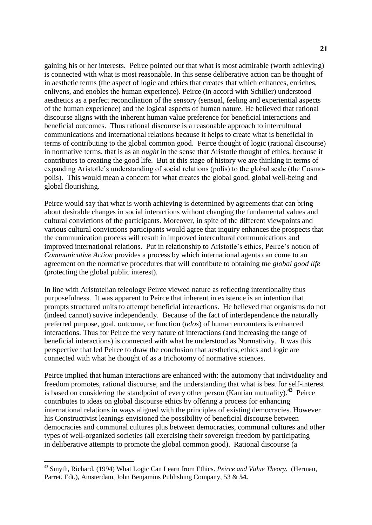gaining his or her interests. Peirce pointed out that what is most admirable (worth achieving) is connected with what is most reasonable. In this sense deliberative action can be thought of in aesthetic terms (the aspect of logic and ethics that creates that which enhances, enriches, enlivens, and enobles the human experience). Peirce (in accord with Schiller) understood aesthetics as a perfect reconciliation of the sensory (sensual, feeling and experiential aspects of the human experience) and the logical aspects of human nature. He believed that rational discourse aligns with the inherent human value preference for beneficial interactions and beneficial outcomes. Thus rational discourse is a reasonable approach to intercultural communications and international relations because it helps to create what is beneficial in terms of contributing to the global common good. Peirce thought of logic (rational discourse) in normative terms, that is as an *ought* in the sense that Aristotle thought of ethics, because it contributes to creating the good life. But at this stage of history we are thinking in terms of expanding Aristotle's understanding of social relations (polis) to the global scale (the Cosmopolis). This would mean a concern for what creates the global good, global well-being and global flourishing.

Peirce would say that what is worth achieving is determined by agreements that can bring about desirable changes in social interactions without changing the fundamental values and cultural convictions of the participants. Moreover, in spite of the different viewpoints and various cultural convictions participants would agree that inquiry enhances the prospects that the communication process will result in improved intercultural communications and improved international relations. Put in relationship to Aristotle's ethics, Peirce's notion of *Communicative Action* provides a process by which international agents can come to an agreement on the normative procedures that will contribute to obtaining *the global good life*  (protecting the global public interest).

In line with Aristotelian teleology Peirce viewed nature as reflecting intentionality thus purposefulness. It was apparent to Peirce that inherent in existence is an intention that prompts structured units to attempt beneficial interactions. He believed that organisms do not (indeed cannot) suvive independently. Because of the fact of interdependence the naturally preferred purpose, goal, outcome, or function (*telos*) of human encounters is enhanced interactions. Thus for Peirce the very nature of interactions (and increasing the range of beneficial interactions) is connected with what he understood as Normativity. It was this perspective that led Peirce to draw the conclusion that aesthetics, ethics and logic are connected with what he thought of as a trichotomy of normative sciences.

Peirce implied that human interactions are enhanced with: the automony that individuality and freedom promotes, rational discourse, and the understanding that what is best for self-interest is based on considering the standpoint of every other person (Kantian mutuality).<sup>43</sup> Peirce contributes to ideas on global discourse ethics by offering a process for enhancing international relations in ways aligned with the principles of existing democracies. However his Constructivist leanings envisioned the possibility of beneficial discourse between democracies and communal cultures plus between democracies, communal cultures and other types of well-organized societies (all exercising their sovereign freedom by participating in deliberative attempts to promote the global common good). Rational discourse (a

<sup>43</sup> Smyth, Richard. (1994) What Logic Can Learn from Ethics. *Peirce and Value Theory.* (Herman, Parret. Edt.), Amsterdam, John Benjamins Publishing Company, 53 & **54.**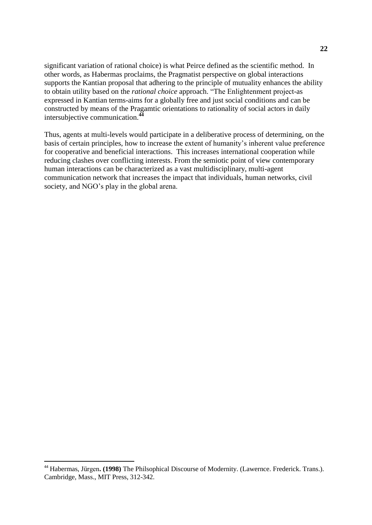significant variation of rational choice) is what Peirce defined as the scientific method. In other words, as Habermas proclaims, the Pragmatist perspective on global interactions supports the Kantian proposal that adhering to the principle of mutuality enhances the ability to obtain utility based on the *rational choice* approach. "The Enlightenment project-as expressed in Kantian terms-aims for a globally free and just social conditions and can be constructed by means of the Pragamtic orientations to rationality of social actors in daily intersubjective communication.**<sup>44</sup>**

Thus, agents at multi-levels would participate in a deliberative process of determining, on the basis of certain principles, how to increase the extent of humanity's inherent value preference for cooperative and beneficial interactions. This increases international cooperation while reducing clashes over conflicting interests. From the semiotic point of view contemporary human interactions can be characterized as a vast multidisciplinary, multi-agent communication network that increases the impact that individuals, human networks, civil society, and NGO's play in the global arena.

<sup>44</sup> Habermas, Jürgen**. (1998)** The Philsophical Discourse of Modernity. (Lawernce. Frederick. Trans.). Cambridge, Mass., MIT Press, 312-342.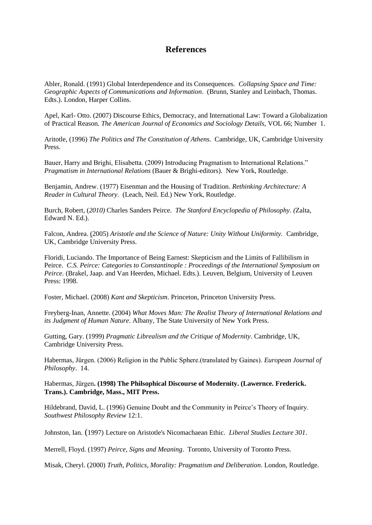## **References**

Abler, Ronald. (1991) Global Interdependence and its Consequences. *Collapsing Space and Time: Geographic Aspects of Communications and Information*. (Brunn, Stanley and Leinbach, Thomas. Edts.). London, Harper Collins.

Apel, Karl- Otto. (2007) Discourse Ethics, Democracy, and International Law: Toward a Globalization of Practical Reason. *The American Journal of Economics and Sociology Details*, VOL 66; Number 1.

Aritotle, (1996) *The Politics and The Constitution of Athens*. Cambridge, UK, Cambridge University Press.

Bauer, Harry and Brighi, Elisabetta. (2009) Introducing Pragmatism to International Relations." *Pragmatism in International Relations* (Bauer & Brighi-editors). New York, Routledge.

Benjamin, Andrew. (1977) Eisenman and the Housing of Tradition. *Rethinking Architecture: A Reader in Cultural Theory*. (Leach, Neil. Ed.) New York, Routledge.

Burch, Robert, (*2010)* Charles Sanders Peirce. *The Stanford Encyclopedia of Philosophy. (*Zalta, Edward N. Ed.).

Falcon, Andrea. (2005) *Aristotle and the Science of Nature: Unity Without Uniformity.* Cambridge, UK, Cambridge University Press.

Floridi, Luciando. The Importance of Being Earnest: Skepticism and the Limits of Fallibilism in Peirce. *C.S. Peirce: Categories to Constantinople : Proceedings of the International Symposium on Peirce.* (Brakel, Jaap. and Van Heerden, Michael. Edts.). Leuven, Belgium, University of Leuven Press: 1998.

Foster, Michael. (2008) *Kant and Skepticism*. Princeton, Princeton University Press.

Freyberg-Inan, Annette. (2004) *What Moves Man: The Realist Theory of International Relations and its Judgment of Human Nature*. Albany, The State University of New York Press.

Gutting, Gary. (1999) *Pragmatic Librealism and the Critique of Modernity*. Cambridge, UK, Cambridge University Press.

Habermas, Jürgen. (2006) Religion in the Public Sphere.(translated by Gaines). *European Journal of Philosophy*. 14.

#### Habermas, Jürgen**. (1998) The Philsophical Discourse of Modernity. (Lawernce. Frederick. Trans.). Cambridge, Mass., MIT Press.**

Hildebrand, David, L. (1996) Genuine Doubt and the Community in Peirce's Theory of Inquiry. *Southwest Philosophy Review* 12:1.

Johnston, Ian. (1997) Lecture on Aristotle's Nicomachaean Ethic*. Liberal Studies Lecture 301*.

Merrell, Floyd. (1997) *Peirce, Signs and Meaning*. Toronto, University of Toronto Press.

Misak, Cheryl. (2000) *Truth, Politics, Morality: Pragmatism and Deliberation*. London, Routledge.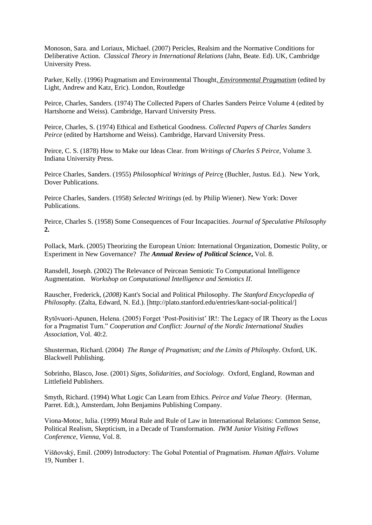Monoson, Sara. and Loriaux, Michael. (2007) Pericles, Realsim and the Normative Conditions for Deliberative Action. *Classical Theory in International Relations* (Jahn, Beate. Ed). UK, Cambridge University Press.

Parker, Kelly. (1996) Pragmatism and Environmental Thought*. Environmental Pragmatism* (edited by Light, Andrew and Katz, Eric). London, Routledge

Peirce, Charles, Sanders. (1974) The Collected Papers of Charles Sanders Peirce Volume 4 (edited by Hartshorne and Weiss). Cambridge, Harvard University Press.

Peirce, Charles, S. (1974) Ethical and Esthetical Goodness*. Collected Papers of Charles Sanders Peirce* (edited by Hartshorne and Weiss). Cambridge, Harvard University Press.

Peirce, C. S. (1878) How to Make our Ideas Clear. from *Writings of Charles S Peirce*, Volume 3. Indiana University Press.

Peirce Charles, Sanders. (1955) *Philosophical Writings of Peirc*e (Buchler, Justus. Ed.). New York, Dover Publications.

Peirce Charles, Sanders. (1958) *Selected Writings* (ed. by Philip Wiener). New York: Dover Publications.

Peirce, Charles S. (1958) Some Consequences of Four Incapacities. *Journal of Speculative Philosophy* **2.**

Pollack, Mark. (2005) Theorizing the European Union: International Organization, Domestic Polity, or Experiment in New Governance? *The Annual Review of Political Science***,** Vol. 8.

Ransdell, Joseph. (2002) The Relevance of Peircean Semiotic To Computational Intelligence Augmentation. *Workshop on Computational Intelligence and Semiotics II*.

Rauscher, Frederick, (*2008)* Kant's Social and Political Philosophy. *The Stanford Encyclopedia of Philosophy.* (Zalta, Edward, N. Ed.). [http://plato.stanford.edu/entries/kant-social-political/]

Rytövuori-Apunen, Helena. (2005) Forget 'Post-Positivist' IR!: The Legacy of IR Theory as the Locus for a Pragmatist Turn." *Cooperation and Conflict: Journal of the Nordic International Studies Association*, Vol. 40:2.

Shusterman, Richard. (2004) *The Range of Pragmatism; and the Limits of Philosphy*. Oxford, UK. Blackwell Publishing.

Sobrinho, Blasco, Jose. (2001) *Signs, Solidarities, and Sociology.* Oxford, England, Rowman and Littlefield Publishers.

Smyth, Richard. (1994) What Logic Can Learn from Ethics. *Peirce and Value Theory.* (Herman, Parret. Edt.), Amsterdam, John Benjamins Publishing Company.

Viona-Motoc, Iulia. (1999) Moral Rule and Rule of Law in International Relations: Common Sense, Political Realism, Skepticism, in a Decade of Transformation. *IWM Junior Visiting Fellows Conference, Vienna,* Vol. 8.

Višňovský, Emil. (2009) Introductory: The Gobal Potential of Pragmatism. *Human Affairs*. Volume 19, Number 1.